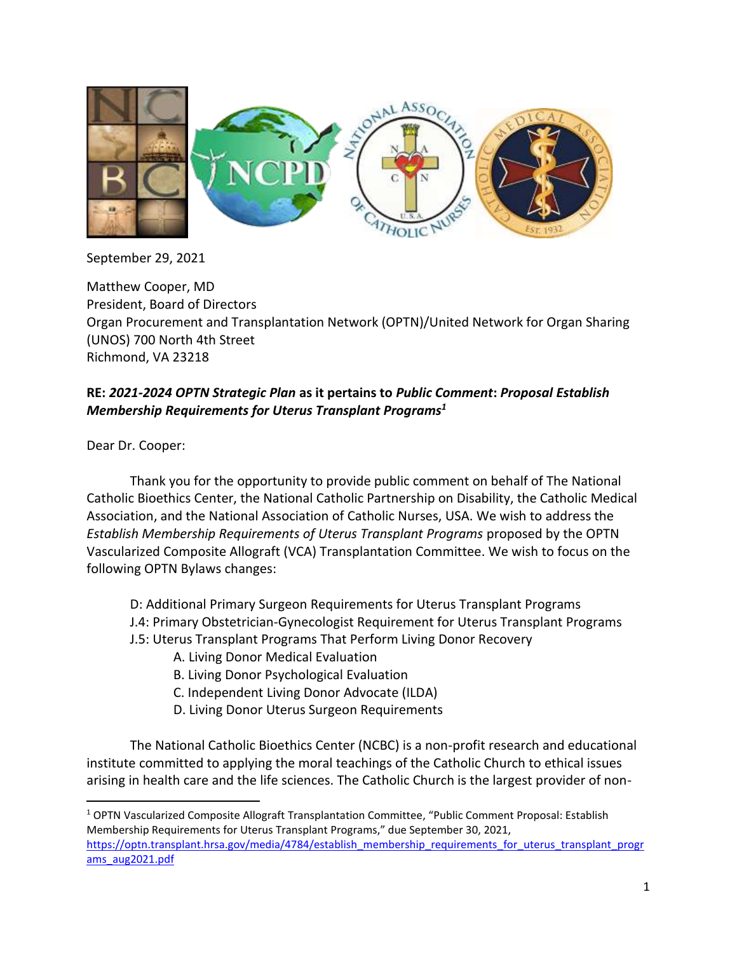

September 29, 2021

Matthew Cooper, MD President, Board of Directors Organ Procurement and Transplantation Network (OPTN)/United Network for Organ Sharing (UNOS) 700 North 4th Street Richmond, VA 23218

## **RE:** *2021-2024 OPTN Strategic Plan* **as it pertains to** *Public Comment***:** *Proposal Establish Membership Requirements for Uterus Transplant Programs<sup>1</sup>*

Dear Dr. Cooper:

Thank you for the opportunity to provide public comment on behalf of The National Catholic Bioethics Center, the National Catholic Partnership on Disability, the Catholic Medical Association, and the National Association of Catholic Nurses, USA. We wish to address the *Establish Membership Requirements of Uterus Transplant Programs* proposed by the OPTN Vascularized Composite Allograft (VCA) Transplantation Committee. We wish to focus on the following OPTN Bylaws changes:

D: Additional Primary Surgeon Requirements for Uterus Transplant Programs J.4: Primary Obstetrician-Gynecologist Requirement for Uterus Transplant Programs J.5: Uterus Transplant Programs That Perform Living Donor Recovery

- A. Living Donor Medical Evaluation
- B. Living Donor Psychological Evaluation
- C. Independent Living Donor Advocate (ILDA)
- D. Living Donor Uterus Surgeon Requirements

The National Catholic Bioethics Center (NCBC) is a non-profit research and educational institute committed to applying the moral teachings of the Catholic Church to ethical issues arising in health care and the life sciences. The Catholic Church is the largest provider of non-

<sup>1</sup> OPTN Vascularized Composite Allograft Transplantation Committee, "Public Comment Proposal: Establish Membership Requirements for Uterus Transplant Programs," due September 30, 2021, [https://optn.transplant.hrsa.gov/media/4784/establish\\_membership\\_requirements\\_for\\_uterus\\_transplant\\_progr](about:blank) [ams\\_aug2021.pdf](about:blank)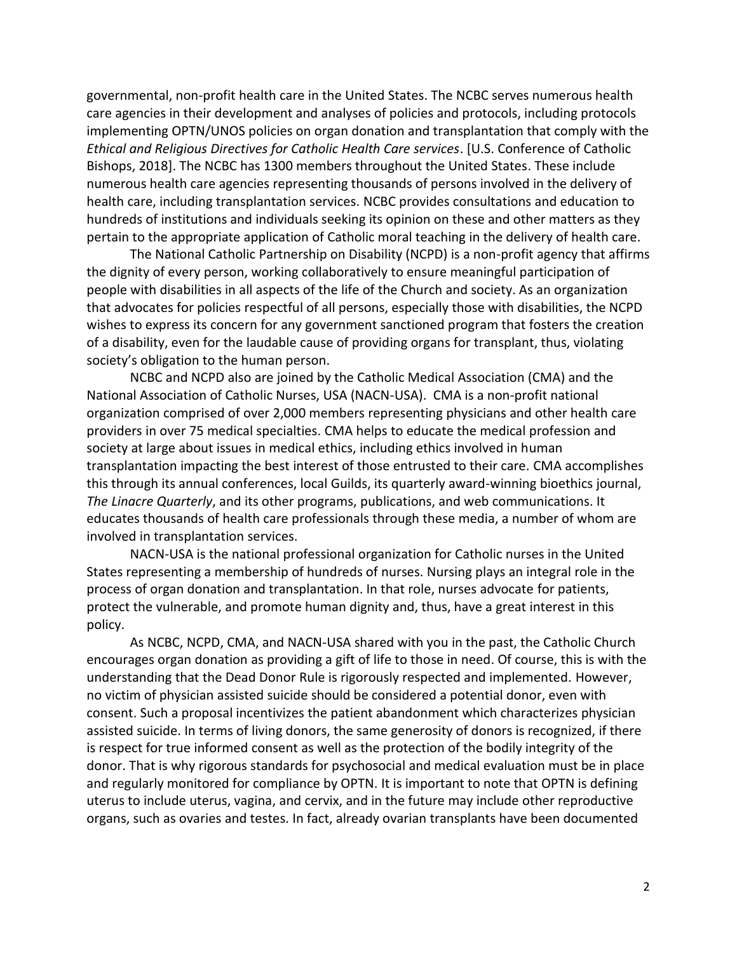governmental, non-profit health care in the United States. The NCBC serves numerous health care agencies in their development and analyses of policies and protocols, including protocols implementing OPTN/UNOS policies on organ donation and transplantation that comply with the *Ethical and Religious Directives for Catholic Health Care services*. [U.S. Conference of Catholic Bishops, 2018]. The NCBC has 1300 members throughout the United States. These include numerous health care agencies representing thousands of persons involved in the delivery of health care, including transplantation services. NCBC provides consultations and education to hundreds of institutions and individuals seeking its opinion on these and other matters as they pertain to the appropriate application of Catholic moral teaching in the delivery of health care.

The National Catholic Partnership on Disability (NCPD) is a non-profit agency that affirms the dignity of every person, working collaboratively to ensure meaningful participation of people with disabilities in all aspects of the life of the Church and society. As an organization that advocates for policies respectful of all persons, especially those with disabilities, the NCPD wishes to express its concern for any government sanctioned program that fosters the creation of a disability, even for the laudable cause of providing organs for transplant, thus, violating society's obligation to the human person.

NCBC and NCPD also are joined by the Catholic Medical Association (CMA) and the National Association of Catholic Nurses, USA (NACN-USA). CMA is a non-profit national organization comprised of over 2,000 members representing physicians and other health care providers in over 75 medical specialties. CMA helps to educate the medical profession and society at large about issues in medical ethics, including ethics involved in human transplantation impacting the best interest of those entrusted to their care. CMA accomplishes this through its annual conferences, local Guilds, its quarterly award-winning bioethics journal, *The Linacre Quarterly*, and its other programs, publications, and web communications. It educates thousands of health care professionals through these media, a number of whom are involved in transplantation services.

NACN-USA is the national professional organization for Catholic nurses in the United States representing a membership of hundreds of nurses. Nursing plays an integral role in the process of organ donation and transplantation. In that role, nurses advocate for patients, protect the vulnerable, and promote human dignity and, thus, have a great interest in this policy.

As NCBC, NCPD, CMA, and NACN-USA shared with you in the past, the Catholic Church encourages organ donation as providing a gift of life to those in need. Of course, this is with the understanding that the Dead Donor Rule is rigorously respected and implemented. However, no victim of physician assisted suicide should be considered a potential donor, even with consent. Such a proposal incentivizes the patient abandonment which characterizes physician assisted suicide. In terms of living donors, the same generosity of donors is recognized, if there is respect for true informed consent as well as the protection of the bodily integrity of the donor. That is why rigorous standards for psychosocial and medical evaluation must be in place and regularly monitored for compliance by OPTN. It is important to note that OPTN is defining uterus to include uterus, vagina, and cervix, and in the future may include other reproductive organs, such as ovaries and testes. In fact, already ovarian transplants have been documented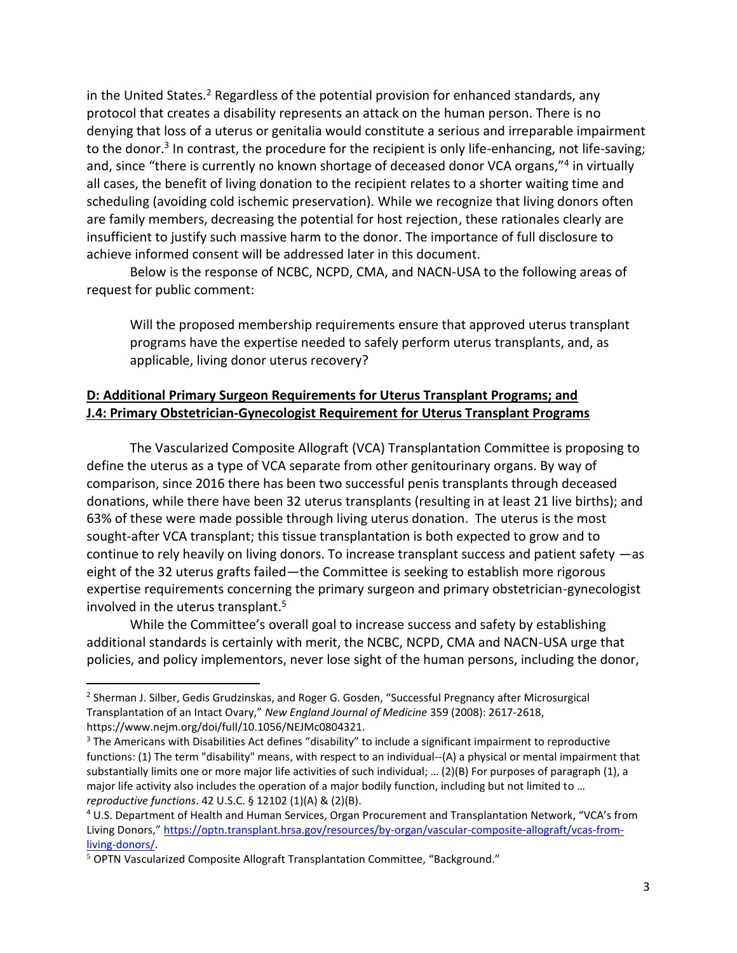in the United States.<sup>2</sup> Regardless of the potential provision for enhanced standards, any protocol that creates a disability represents an attack on the human person. There is no denying that loss of a uterus or genitalia would constitute a serious and irreparable impairment to the donor.<sup>3</sup> In contrast, the procedure for the recipient is only life-enhancing, not life-saving; and, since "there is currently no known shortage of deceased donor VCA organs,"<sup>4</sup> in virtually all cases, the benefit of living donation to the recipient relates to a shorter waiting time and scheduling (avoiding cold ischemic preservation). While we recognize that living donors often are family members, decreasing the potential for host rejection, these rationales clearly are insufficient to justify such massive harm to the donor. The importance of full disclosure to achieve informed consent will be addressed later in this document.

Below is the response of NCBC, NCPD, CMA, and NACN-USA to the following areas of request for public comment:

Will the proposed membership requirements ensure that approved uterus transplant programs have the expertise needed to safely perform uterus transplants, and, as applicable, living donor uterus recovery?

## **D: Additional Primary Surgeon Requirements for Uterus Transplant Programs; and J.4: Primary Obstetrician-Gynecologist Requirement for Uterus Transplant Programs**

The Vascularized Composite Allograft (VCA) Transplantation Committee is proposing to define the uterus as a type of VCA separate from other genitourinary organs. By way of comparison, since 2016 there has been two successful penis transplants through deceased donations, while there have been 32 uterus transplants (resulting in at least 21 live births); and 63% of these were made possible through living uterus donation. The uterus is the most sought-after VCA transplant; this tissue transplantation is both expected to grow and to continue to rely heavily on living donors. To increase transplant success and patient safety —as eight of the 32 uterus grafts failed—the Committee is seeking to establish more rigorous expertise requirements concerning the primary surgeon and primary obstetrician-gynecologist involved in the uterus transplant.<sup>5</sup>

While the Committee's overall goal to increase success and safety by establishing additional standards is certainly with merit, the NCBC, NCPD, CMA and NACN-USA urge that policies, and policy implementors, never lose sight of the human persons, including the donor,

<sup>&</sup>lt;sup>2</sup> Sherman J. Silber, Gedis Grudzinskas, and Roger G. Gosden, "Successful Pregnancy after Microsurgical Transplantation of an Intact Ovary," *New England Journal of Medicine* 359 (2008): 2617-2618, https://www.nejm.org/doi/full/10.1056/NEJMc0804321.

<sup>&</sup>lt;sup>3</sup> The Americans with Disabilities Act defines "disability" to include a significant impairment to reproductive functions: (1) The term "disability" means, with respect to an individual--(A) a physical or mental impairment that substantially limits one or more major life activities of such individual; … (2)(B) For purposes of paragraph (1), a major life activity also includes the operation of a major bodily function, including but not limited to … *reproductive functions*. 42 U.S.C. § 12102 (1)(A) & (2)(B).

<sup>4</sup> U.S. Department of Health and Human Services, Organ Procurement and Transplantation Network, "VCA's from Living Donors," [https://optn.transplant.hrsa.gov/resources/by-organ/vascular-composite-allograft/vcas-from](about:blank)[living-donors/.](about:blank)

<sup>5</sup> OPTN Vascularized Composite Allograft Transplantation Committee, "Background."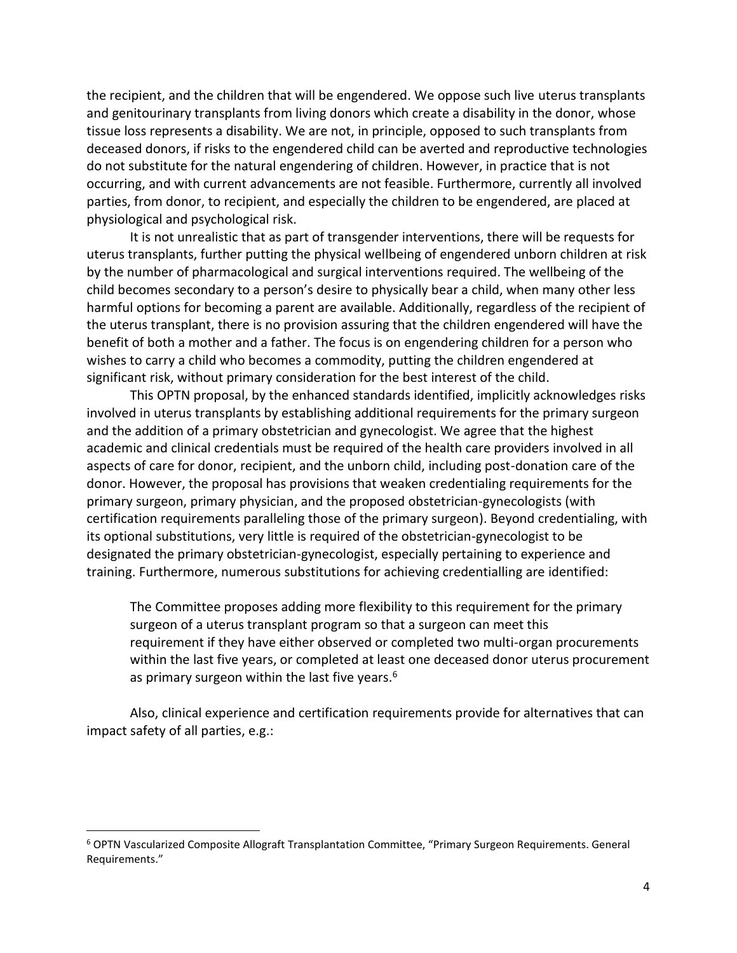the recipient, and the children that will be engendered. We oppose such live uterus transplants and genitourinary transplants from living donors which create a disability in the donor, whose tissue loss represents a disability. We are not, in principle, opposed to such transplants from deceased donors, if risks to the engendered child can be averted and reproductive technologies do not substitute for the natural engendering of children. However, in practice that is not occurring, and with current advancements are not feasible. Furthermore, currently all involved parties, from donor, to recipient, and especially the children to be engendered, are placed at physiological and psychological risk.

It is not unrealistic that as part of transgender interventions, there will be requests for uterus transplants, further putting the physical wellbeing of engendered unborn children at risk by the number of pharmacological and surgical interventions required. The wellbeing of the child becomes secondary to a person's desire to physically bear a child, when many other less harmful options for becoming a parent are available. Additionally, regardless of the recipient of the uterus transplant, there is no provision assuring that the children engendered will have the benefit of both a mother and a father. The focus is on engendering children for a person who wishes to carry a child who becomes a commodity, putting the children engendered at significant risk, without primary consideration for the best interest of the child.

This OPTN proposal, by the enhanced standards identified, implicitly acknowledges risks involved in uterus transplants by establishing additional requirements for the primary surgeon and the addition of a primary obstetrician and gynecologist. We agree that the highest academic and clinical credentials must be required of the health care providers involved in all aspects of care for donor, recipient, and the unborn child, including post-donation care of the donor. However, the proposal has provisions that weaken credentialing requirements for the primary surgeon, primary physician, and the proposed obstetrician-gynecologists (with certification requirements paralleling those of the primary surgeon). Beyond credentialing, with its optional substitutions, very little is required of the obstetrician-gynecologist to be designated the primary obstetrician-gynecologist, especially pertaining to experience and training. Furthermore, numerous substitutions for achieving credentialling are identified:

The Committee proposes adding more flexibility to this requirement for the primary surgeon of a uterus transplant program so that a surgeon can meet this requirement if they have either observed or completed two multi-organ procurements within the last five years, or completed at least one deceased donor uterus procurement as primary surgeon within the last five years. $6$ 

Also, clinical experience and certification requirements provide for alternatives that can impact safety of all parties, e.g.:

<sup>6</sup> OPTN Vascularized Composite Allograft Transplantation Committee, "Primary Surgeon Requirements. General Requirements."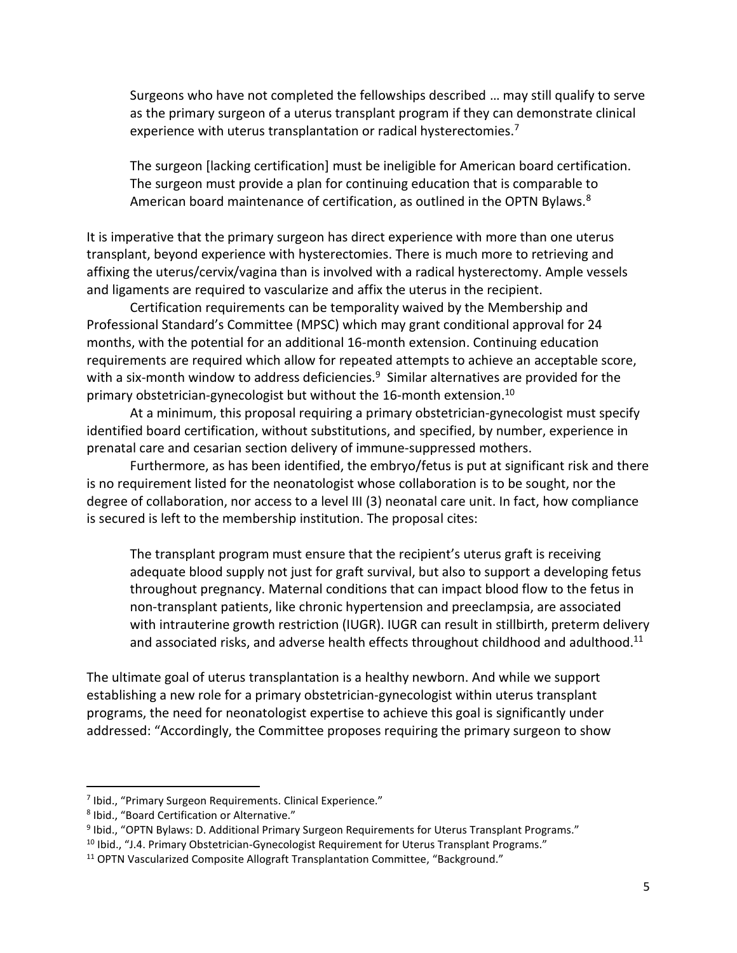Surgeons who have not completed the fellowships described … may still qualify to serve as the primary surgeon of a uterus transplant program if they can demonstrate clinical experience with uterus transplantation or radical hysterectomies.<sup>7</sup>

The surgeon [lacking certification] must be ineligible for American board certification. The surgeon must provide a plan for continuing education that is comparable to American board maintenance of certification, as outlined in the OPTN Bylaws.<sup>8</sup>

It is imperative that the primary surgeon has direct experience with more than one uterus transplant, beyond experience with hysterectomies. There is much more to retrieving and affixing the uterus/cervix/vagina than is involved with a radical hysterectomy. Ample vessels and ligaments are required to vascularize and affix the uterus in the recipient.

Certification requirements can be temporality waived by the Membership and Professional Standard's Committee (MPSC) which may grant conditional approval for 24 months, with the potential for an additional 16-month extension. Continuing education requirements are required which allow for repeated attempts to achieve an acceptable score, with a six-month window to address deficiencies.<sup>9</sup> Similar alternatives are provided for the primary obstetrician-gynecologist but without the 16-month extension.<sup>10</sup>

At a minimum, this proposal requiring a primary obstetrician-gynecologist must specify identified board certification, without substitutions, and specified, by number, experience in prenatal care and cesarian section delivery of immune-suppressed mothers.

Furthermore, as has been identified, the embryo/fetus is put at significant risk and there is no requirement listed for the neonatologist whose collaboration is to be sought, nor the degree of collaboration, nor access to a level III (3) neonatal care unit. In fact, how compliance is secured is left to the membership institution. The proposal cites:

The transplant program must ensure that the recipient's uterus graft is receiving adequate blood supply not just for graft survival, but also to support a developing fetus throughout pregnancy. Maternal conditions that can impact blood flow to the fetus in non-transplant patients, like chronic hypertension and preeclampsia, are associated with intrauterine growth restriction (IUGR). IUGR can result in stillbirth, preterm delivery and associated risks, and adverse health effects throughout childhood and adulthood.<sup>11</sup>

The ultimate goal of uterus transplantation is a healthy newborn. And while we support establishing a new role for a primary obstetrician-gynecologist within uterus transplant programs, the need for neonatologist expertise to achieve this goal is significantly under addressed: "Accordingly, the Committee proposes requiring the primary surgeon to show

<sup>&</sup>lt;sup>7</sup> Ibid., "Primary Surgeon Requirements. Clinical Experience."

<sup>8</sup> Ibid., "Board Certification or Alternative."

<sup>9</sup> Ibid., "OPTN Bylaws: D. Additional Primary Surgeon Requirements for Uterus Transplant Programs."

<sup>&</sup>lt;sup>10</sup> Ibid., "J.4. Primary Obstetrician-Gynecologist Requirement for Uterus Transplant Programs."

<sup>&</sup>lt;sup>11</sup> OPTN Vascularized Composite Allograft Transplantation Committee, "Background."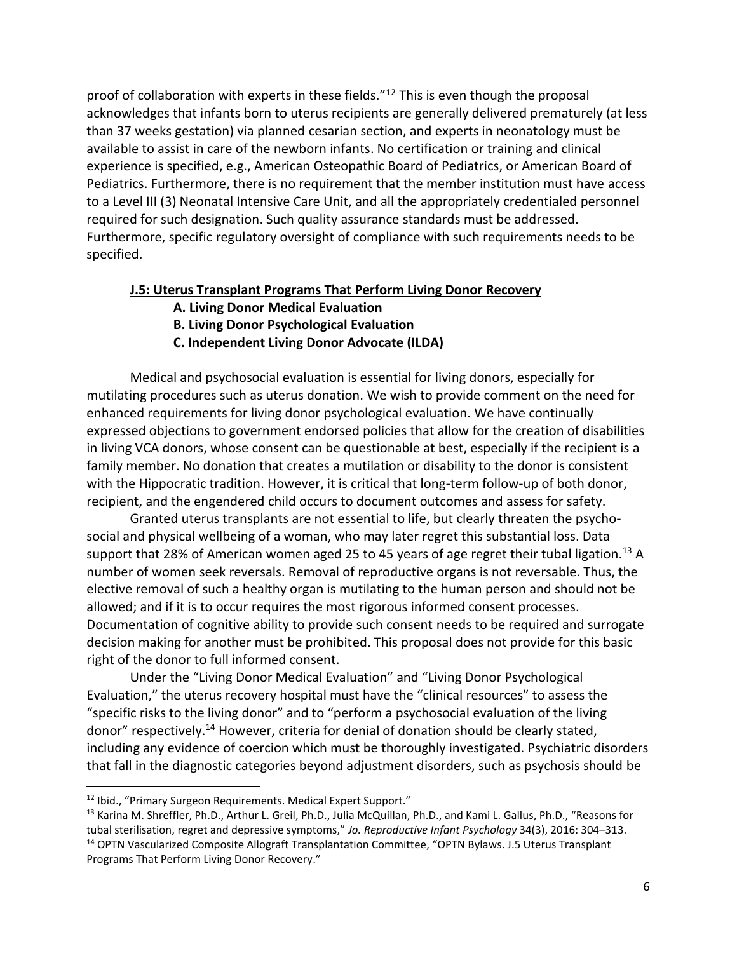proof of collaboration with experts in these fields."<sup>12</sup> This is even though the proposal acknowledges that infants born to uterus recipients are generally delivered prematurely (at less than 37 weeks gestation) via planned cesarian section, and experts in neonatology must be available to assist in care of the newborn infants. No certification or training and clinical experience is specified, e.g., American Osteopathic Board of Pediatrics, or American Board of Pediatrics. Furthermore, there is no requirement that the member institution must have access to a Level III (3) Neonatal Intensive Care Unit, and all the appropriately credentialed personnel required for such designation. Such quality assurance standards must be addressed. Furthermore, specific regulatory oversight of compliance with such requirements needs to be specified.

## **J.5: Uterus Transplant Programs That Perform Living Donor Recovery**

- **A. Living Donor Medical Evaluation**
- **B. Living Donor Psychological Evaluation**
- **C. Independent Living Donor Advocate (ILDA)**

Medical and psychosocial evaluation is essential for living donors, especially for mutilating procedures such as uterus donation. We wish to provide comment on the need for enhanced requirements for living donor psychological evaluation. We have continually expressed objections to government endorsed policies that allow for the creation of disabilities in living VCA donors, whose consent can be questionable at best, especially if the recipient is a family member. No donation that creates a mutilation or disability to the donor is consistent with the Hippocratic tradition. However, it is critical that long-term follow-up of both donor, recipient, and the engendered child occurs to document outcomes and assess for safety.

Granted uterus transplants are not essential to life, but clearly threaten the psychosocial and physical wellbeing of a woman, who may later regret this substantial loss. Data support that 28% of American women aged 25 to 45 years of age regret their tubal ligation.<sup>13</sup> A number of women seek reversals. Removal of reproductive organs is not reversable. Thus, the elective removal of such a healthy organ is mutilating to the human person and should not be allowed; and if it is to occur requires the most rigorous informed consent processes. Documentation of cognitive ability to provide such consent needs to be required and surrogate decision making for another must be prohibited. This proposal does not provide for this basic right of the donor to full informed consent.

Under the "Living Donor Medical Evaluation" and "Living Donor Psychological Evaluation," the uterus recovery hospital must have the "clinical resources" to assess the "specific risks to the living donor" and to "perform a psychosocial evaluation of the living donor" respectively.<sup>14</sup> However, criteria for denial of donation should be clearly stated, including any evidence of coercion which must be thoroughly investigated. Psychiatric disorders that fall in the diagnostic categories beyond adjustment disorders, such as psychosis should be

<sup>12</sup> Ibid., "Primary Surgeon Requirements. Medical Expert Support."

<sup>&</sup>lt;sup>13</sup> Karina M. Shreffler, Ph.D., Arthur L. Greil, Ph.D., Julia McQuillan, Ph.D., and Kami L. Gallus, Ph.D., "Reasons for tubal sterilisation, regret and depressive symptoms," *Jo. Reproductive Infant Psychology* 34(3), 2016: 304–313. <sup>14</sup> OPTN Vascularized Composite Allograft Transplantation Committee, "OPTN Bylaws. J.5 Uterus Transplant Programs That Perform Living Donor Recovery."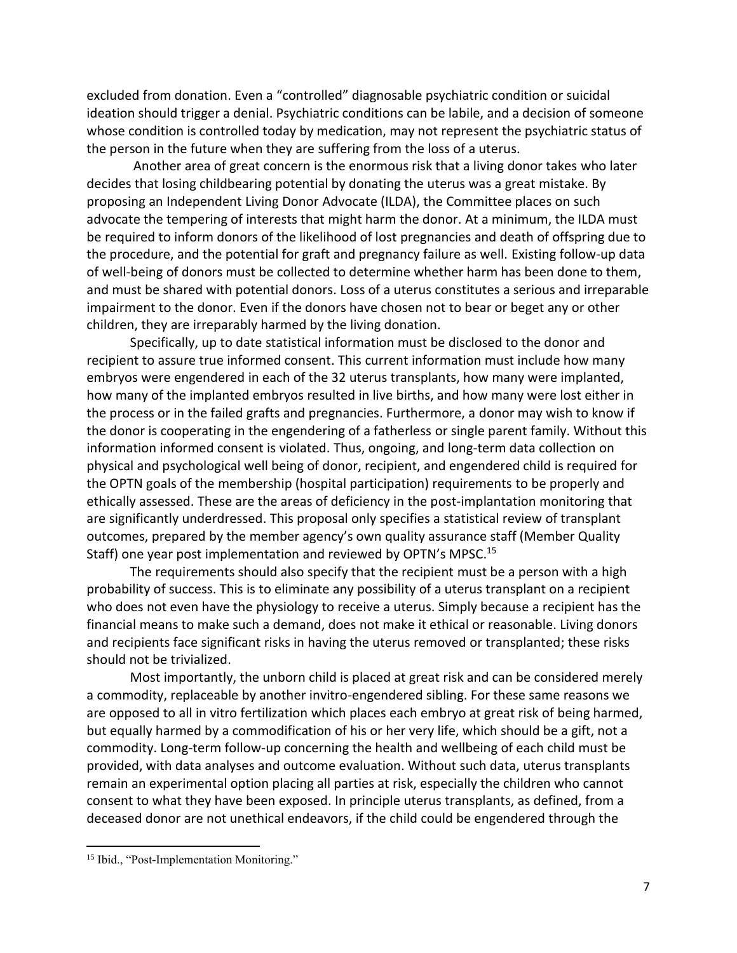excluded from donation. Even a "controlled" diagnosable psychiatric condition or suicidal ideation should trigger a denial. Psychiatric conditions can be labile, and a decision of someone whose condition is controlled today by medication, may not represent the psychiatric status of the person in the future when they are suffering from the loss of a uterus.

Another area of great concern is the enormous risk that a living donor takes who later decides that losing childbearing potential by donating the uterus was a great mistake. By proposing an Independent Living Donor Advocate (ILDA), the Committee places on such advocate the tempering of interests that might harm the donor. At a minimum, the ILDA must be required to inform donors of the likelihood of lost pregnancies and death of offspring due to the procedure, and the potential for graft and pregnancy failure as well. Existing follow-up data of well-being of donors must be collected to determine whether harm has been done to them, and must be shared with potential donors. Loss of a uterus constitutes a serious and irreparable impairment to the donor. Even if the donors have chosen not to bear or beget any or other children, they are irreparably harmed by the living donation.

Specifically, up to date statistical information must be disclosed to the donor and recipient to assure true informed consent. This current information must include how many embryos were engendered in each of the 32 uterus transplants, how many were implanted, how many of the implanted embryos resulted in live births, and how many were lost either in the process or in the failed grafts and pregnancies. Furthermore, a donor may wish to know if the donor is cooperating in the engendering of a fatherless or single parent family. Without this information informed consent is violated. Thus, ongoing, and long-term data collection on physical and psychological well being of donor, recipient, and engendered child is required for the OPTN goals of the membership (hospital participation) requirements to be properly and ethically assessed. These are the areas of deficiency in the post-implantation monitoring that are significantly underdressed. This proposal only specifies a statistical review of transplant outcomes, prepared by the member agency's own quality assurance staff (Member Quality Staff) one year post implementation and reviewed by OPTN's MPSC.<sup>15</sup>

The requirements should also specify that the recipient must be a person with a high probability of success. This is to eliminate any possibility of a uterus transplant on a recipient who does not even have the physiology to receive a uterus. Simply because a recipient has the financial means to make such a demand, does not make it ethical or reasonable. Living donors and recipients face significant risks in having the uterus removed or transplanted; these risks should not be trivialized.

Most importantly, the unborn child is placed at great risk and can be considered merely a commodity, replaceable by another invitro-engendered sibling. For these same reasons we are opposed to all in vitro fertilization which places each embryo at great risk of being harmed, but equally harmed by a commodification of his or her very life, which should be a gift, not a commodity. Long-term follow-up concerning the health and wellbeing of each child must be provided, with data analyses and outcome evaluation. Without such data, uterus transplants remain an experimental option placing all parties at risk, especially the children who cannot consent to what they have been exposed. In principle uterus transplants, as defined, from a deceased donor are not unethical endeavors, if the child could be engendered through the

<sup>&</sup>lt;sup>15</sup> Ibid., "Post-Implementation Monitoring."